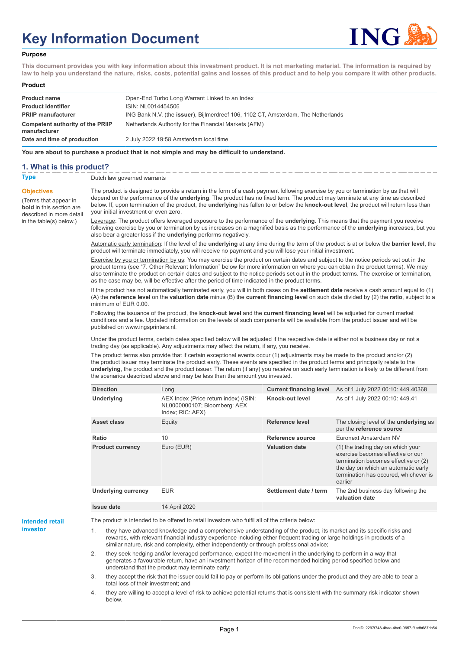# **Key Information Document**



#### **Purpose**

**This document provides you with key information about this investment product. It is not marketing material. The information is required by law to help you understand the nature, risks, costs, potential gains and losses of this product and to help you compare it with other products.**

#### **Product**

| <b>Product name</b><br><b>Product identifier</b>                              | Open-End Turbo Long Warrant Linked to an Index<br>ISIN: NL0014454506                                                                               |
|-------------------------------------------------------------------------------|----------------------------------------------------------------------------------------------------------------------------------------------------|
| <b>PRIIP manufacturer</b><br>Competent authority of the PRIIP<br>manufacturer | ING Bank N.V. (the <b>issuer</b> ), Bijlmerdreef 106, 1102 CT, Amsterdam, The Netherlands<br>Netherlands Authority for the Financial Markets (AFM) |
| Date and time of production                                                   | 2 July 2022 19:58 Amsterdam local time                                                                                                             |

**You are about to purchase a product that is not simple and may be difficult to understand.**

### **1. What is this product?**

**Objectives**

(Terms that appear in **bold** in this section are

in the table(s) below.)

**Type** Dutch law governed warrants

described in more detail The product is designed to provide a return in the form of a cash payment following exercise by you or termination by us that will depend on the performance of the **underlying**. The product has no fixed term. The product may terminate at any time as described below. If, upon termination of the product, the **underlying** has fallen to or below the **knock-out level**, the product will return less than your initial investment or even zero.

> Leverage: The product offers leveraged exposure to the performance of the **underlying**. This means that the payment you receive following exercise by you or termination by us increases on a magnified basis as the performance of the **underlying** increases, but you also bear a greater loss if the **underlying** performs negatively.

> Automatic early termination: If the level of the **underlying** at any time during the term of the product is at or below the **barrier level**, the product will terminate immediately, you will receive no payment and you will lose your initial investment.

> Exercise by you or termination by us: You may exercise the product on certain dates and subject to the notice periods set out in the product terms (see "7. Other Relevant Information" below for more information on where you can obtain the product terms). We may also terminate the product on certain dates and subject to the notice periods set out in the product terms. The exercise or termination, as the case may be, will be effective after the period of time indicated in the product terms.

> If the product has not automatically terminated early, you will in both cases on the **settlement date** receive a cash amount equal to (1) (A) the **reference level** on the **valuation date** minus (B) the **current financing level** on such date divided by (2) the **ratio**, subject to a minimum of EUR 0.00.

Following the issuance of the product, the **knock-out level** and the **current financing level** will be adjusted for current market conditions and a fee. Updated information on the levels of such components will be available from the product issuer and will be published on www.ingsprinters.nl.

Under the product terms, certain dates specified below will be adjusted if the respective date is either not a business day or not a trading day (as applicable). Any adjustments may affect the return, if any, you receive.

The product terms also provide that if certain exceptional events occur (1) adjustments may be made to the product and/or (2) the product issuer may terminate the product early. These events are specified in the product terms and principally relate to the **underlying**, the product and the product issuer. The return (if any) you receive on such early termination is likely to be different from the scenarios described above and may be less than the amount you invested.

| <b>Direction</b>           | Long                                                                                      | <b>Current financing level</b> | As of 1 July 2022 00:10: 449.40368                                                                                                                                                                        |
|----------------------------|-------------------------------------------------------------------------------------------|--------------------------------|-----------------------------------------------------------------------------------------------------------------------------------------------------------------------------------------------------------|
| <b>Underlying</b>          | AEX Index (Price return index) (ISIN:<br>NL0000000107; Bloomberg: AEX<br>Index; RIC: AEX) | Knock-out level                | As of 1 July 2022 00:10: 449.41                                                                                                                                                                           |
| Asset class                | Equity                                                                                    | Reference level                | The closing level of the <b>underlying</b> as<br>per the reference source                                                                                                                                 |
| Ratio                      | 10                                                                                        | Reference source               | Euronext Amsterdam NV                                                                                                                                                                                     |
| <b>Product currency</b>    | Euro (EUR)                                                                                | <b>Valuation date</b>          | (1) the trading day on which your<br>exercise becomes effective or our<br>termination becomes effective or (2)<br>the day on which an automatic early<br>termination has occured, whichever is<br>earlier |
| <b>Underlying currency</b> | <b>EUR</b>                                                                                | Settlement date / term         | The 2nd business day following the<br>valuation date                                                                                                                                                      |
| Issue date                 | 14 April 2020                                                                             |                                |                                                                                                                                                                                                           |

**Intended retail investor**

The product is intended to be offered to retail investors who fulfil all of the criteria below:

they have advanced knowledge and a comprehensive understanding of the product, its market and its specific risks and rewards, with relevant financial industry experience including either frequent trading or large holdings in products of a similar nature, risk and complexity, either independently or through professional advice;

2. they seek hedging and/or leveraged performance, expect the movement in the underlying to perform in a way that generates a favourable return, have an investment horizon of the recommended holding period specified below and understand that the product may terminate early;

3. they accept the risk that the issuer could fail to pay or perform its obligations under the product and they are able to bear a total loss of their investment; and

4. they are willing to accept a level of risk to achieve potential returns that is consistent with the summary risk indicator shown below.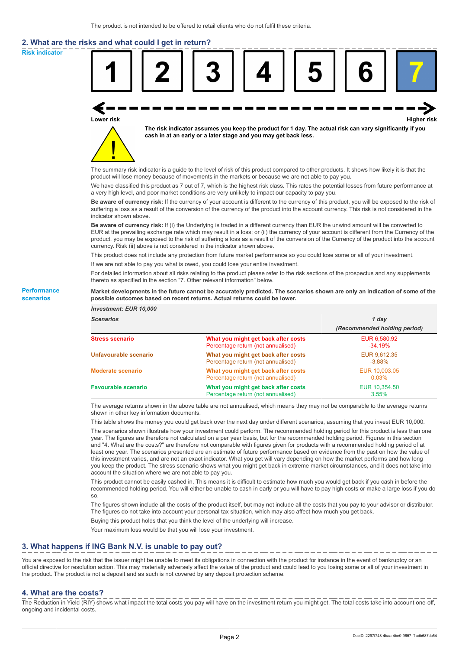# **2. What are the risks and what could I get in return?**

**Risk indicator**

**Performance scenarios**



thereto as specified in the section "7. Other relevant information" below.

#### **Market developments in the future cannot be accurately predicted. The scenarios shown are only an indication of some of the possible outcomes based on recent returns. Actual returns could be lower.**

| <b>Investment: EUR 10,000</b> |                                                                           |                              |
|-------------------------------|---------------------------------------------------------------------------|------------------------------|
| <b>Scenarios</b>              |                                                                           | 1 day                        |
|                               |                                                                           | (Recommended holding period) |
| <b>Stress scenario</b>        | What you might get back after costs<br>Percentage return (not annualised) | EUR 6,580.92<br>$-34.19%$    |
| Unfavourable scenario         | What you might get back after costs<br>Percentage return (not annualised) | EUR 9,612.35<br>$-3.88%$     |
| <b>Moderate scenario</b>      | What you might get back after costs<br>Percentage return (not annualised) | EUR 10,003.05<br>0.03%       |
| <b>Favourable scenario</b>    | What you might get back after costs<br>Percentage return (not annualised) | EUR 10,354.50<br>3.55%       |

The average returns shown in the above table are not annualised, which means they may not be comparable to the average returns shown in other key information documents.

This table shows the money you could get back over the next day under different scenarios, assuming that you invest EUR 10,000.

The scenarios shown illustrate how your investment could perform. The recommended holding period for this product is less than one year. The figures are therefore not calculated on a per year basis, but for the recommended holding period. Figures in this section and "4. What are the costs?" are therefore not comparable with figures given for products with a recommended holding period of at least one year. The scenarios presented are an estimate of future performance based on evidence from the past on how the value of this investment varies, and are not an exact indicator. What you get will vary depending on how the market performs and how long you keep the product. The stress scenario shows what you might get back in extreme market circumstances, and it does not take into account the situation where we are not able to pay you.

This product cannot be easily cashed in. This means it is difficult to estimate how much you would get back if you cash in before the recommended holding period. You will either be unable to cash in early or you will have to pay high costs or make a large loss if you do so.

The figures shown include all the costs of the product itself, but may not include all the costs that you pay to your advisor or distributor. The figures do not take into account your personal tax situation, which may also affect how much you get back.

Buying this product holds that you think the level of the underlying will increase.

Your maximum loss would be that you will lose your investment.

## **3. What happens if ING Bank N.V. is unable to pay out?**

You are exposed to the risk that the issuer might be unable to meet its obligations in connection with the product for instance in the event of bankruptcy or an official directive for resolution action. This may materially adversely affect the value of the product and could lead to you losing some or all of your investment in the product. The product is not a deposit and as such is not covered by any deposit protection scheme.

#### **4. What are the costs?**

The Reduction in Yield (RIY) shows what impact the total costs you pay will have on the investment return you might get. The total costs take into account one-off, ongoing and incidental costs.